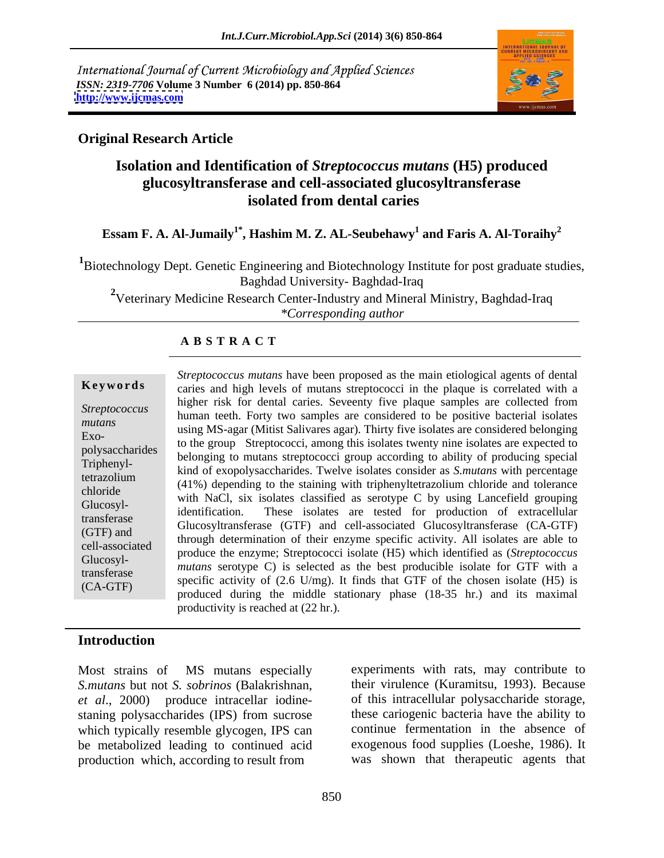International Journal of Current Microbiology and Applied Sciences *ISSN: 2319-7706* **Volume 3 Number 6 (2014) pp. 850-864 <http://www.ijcmas.com>**



### **Original Research Article**

## **Isolation and Identification of** *Streptococcus mutans* **(H5) produced glucosyltransferase and cell-associated glucosyltransferase isolated from dental caries**

### $\boldsymbol{\mathrm{Essam}}$  F. A. Al-Jumaily $^{1*}$ , Hashim M. Z. AL-Seubehawy $^{1}$  and Faris A. Al-Toraihy $^{2}$  **and Faris A. Al-Toraihy<sup>2</sup>**

<sup>1</sup>Biotechnology Dept. Genetic Engineering and Biotechnology Institute for post graduate studies, Baghdad University- Baghdad-Iraq

<sup>2</sup>Veterinary Medicine Research Center-Industry and Mineral Ministry, Baghdad-Iraq *\*Corresponding author* 

### **A B S T R A C T**

Triphenyl-Glucosyl-Glucosyl-

**Keywords** caries and high levels of mutans streptococci in the plaque is correlated with a *Streptococcus*  human teeth. Forty two samples are considered to be positive bacterial isolates mutans<br>
using MS-agar (Mitist Salivares agar). Thirty five isolates are considered belonging Exo-<br>to the group Streptococci, among this isolates twenty nine isolates are expected to polysaccharides to the group sucprococci, among this isolates twenty line isolates are expected to<br>Triphenul belonging to mutans streptococci group according to ability of producing special tetrazolium<br>
(41%) depending to the staining with triphenyltetrazolium chloride and tolerance chloride<br>
with NaCl, six isolates classified as serotype C by using Lancefield grouping transferase Glucosyltransferase (GTF) and cell-associated Glucosyltransferase (CA-GTF) (GTF) and<br>
through determination of their enzyme specific activity. All isolates are able to cell-associated produce the enzyme; Streptococci isolate (H5) which identified as (*Streptococcus*  transferase *matures* settled as the settle and the chosen isolate for GTF with a specific activity of  $(2.6 \text{ U/mg})$ . It finds that GTF of the chosen isolate (H5) is  $(CA-GTF)$  specific activity of  $(2.6 \text{ C/mg})$ . It finds that GTP of the chosen isolate  $(T3)$  is produced during the middle stationary phase  $(18-35 \text{ hr})$  and its maximal *Streptococcus mutans* have been proposed as the main etiological agents of dental higher risk for dental caries. Seveenty five plaque samples are collected from kind of exopolysaccharides. Twelve isolates consider as *S.mutans* with percentage identification. These isolates are tested for production of extracellular *mutans* serotype C) is selected as the best producible isolate for GTF with a productivity is reached at (22 hr.).

### **Introduction**

*S.mutans* but not *S. sobrinos* (Balakrishnan, *et al*., 2000) produce intracellar iodine staning polysaccharides (IPS) from sucrose which typically resemble glycogen, IPS can be metabolized leading to continued acid production which, according to result from

Most strains of MS mutans especially experiments with rats, may contribute to their virulence (Kuramitsu, 1993). Because of this intracellular polysaccharide storage, these cariogenic bacteria have the ability to continue fermentation in the absence of exogenous food supplies (Loeshe, 1986). It was shown that therapeutic agents that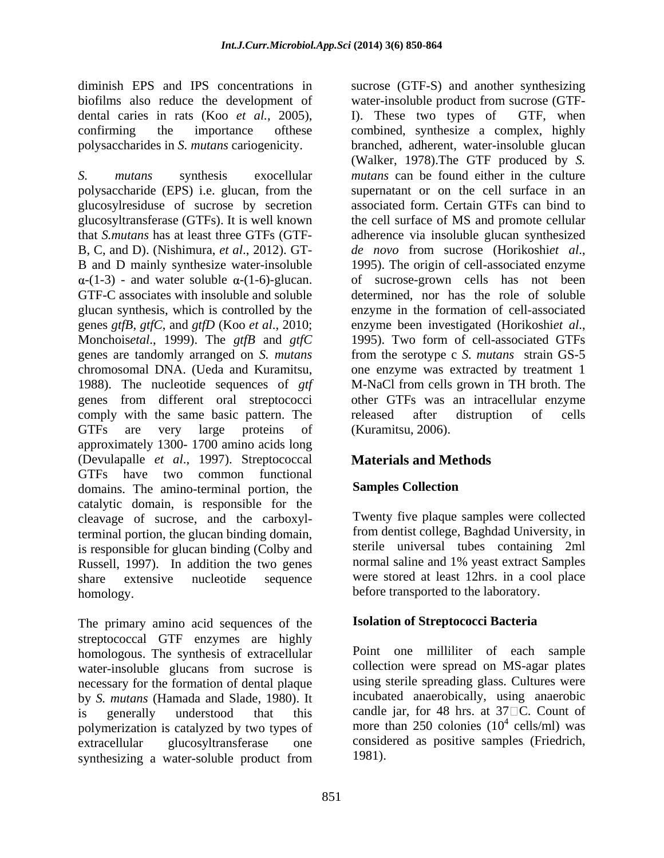dental caries in rats (Koo *et al.*, 2005),

*S. mutans* synthesis exocellular *mutans* can be found either in the culture polysaccharide (EPS) i.e. glucan, from the glucosylresiduse of sucrose by secretion glucosyltransferase (GTFs). It is well known that *S.mutans* has at least three GTFs (GTF- adherence via insoluble glucan synthesized B, C, and D). (Nishimura, *et al*., 2012). GT- B and D mainly synthesize water-insoluble  $\alpha$ -(1-3) - and water soluble  $\alpha$ -(1-6)-glucan. of sucrose-grown cells has not been GTF-C associates with insoluble and soluble determined, nor has the role of soluble glucan synthesis, which is controlled by the enzyme in the formation of cell-associated genes *gtfB*, *gtfC*, and *gtfD* (Koo *et al*., 2010; Monchoisetal., 1999). The *gtfB* and *gtfC* 1995). Two form of cell-associated GTFs genes are tandomly arranged on *S. mutans* from the serotype c *S. mutans* strain GS-5 chromosomal DNA. (Ueda and Kuramitsu, one enzyme was extracted by treatment 1 1988). The nucleotide sequences of *gtf* M-NaCl from cells grown in TH broth. The genes from different oral streptococci other GTFs was an intracellular enzyme comply with the same basic pattern. The server released after distruption of cells GTFs are very large proteins of (Kuramitsu, 2006). approximately 1300- 1700 amino acids long (Devulapalle *et al*., 1997). Streptococcal GTFs have two common functional<br>domains The amino-terminal portion the **Samples Collection** domains. The amino-terminal portion, the catalytic domain, is responsible for the cleavage of sucrose, and the carboxylterminal portion, the glucan binding domain, is responsible for glucan binding (Colby and sterile universal tubes containing 2ml<br>Russell 1997) In addition the two genes normal saline and 1% yeast extract Samples Russell, 1997). In addition the two genes share extensive nucleotide sequence were stored at least 12hrs. in a cool place homology. **Example 1** before transported to the laboratory.

The primary amino acid sequences of the streptococcal GTF enzymes are highly homologous. The synthesis of extracellular water-insoluble glucans from sucrose is necessary for the formation of dental plaque by *S. mutans* (Hamada and Slade, 1980). It is generally understood that this candle jar, for 48 hrs. at  $37\Box$ C. Count of polymerization is catalyzed by two types of extracellular glucosyltransferase one considered as positive samples (Friedrich, synthesizing a water-soluble product from 1981).

diminish EPS and IPS concentrations in sucrose (GTF-S) and another synthesizing biofilms also reduce the development of water-insoluble product from sucrose (GTFconfirming the importance ofthese combined, synthesize a complex, highly polysaccharides in *S. mutans* cariogenicity. branched, adherent, water-insoluble glucan I). These two types of GTF, when (Walker, 1978).The GTF produced by *S.*  supernatant or on the cell surface in an associated form. Certain GTFs can bind to the cell surface of MS and promote cellular *de novo* from sucrose (Horikoshi*et al*., 1995). The origin of cell-associated enzyme of sucrose-grown cells has not been enzyme been investigated (Horikoshi*et al*., 1995). Two form of cell-associated GTFs released after distruption of cells (Kuramitsu, 2006).

## **Materials and Methods**

## **Samples Collection**

Twenty five plaque samples were collected from dentist college, Baghdad University, in sterile universal tubes containing 2ml normal saline and 1% yeast extract Samples

### **Isolation of Streptococci Bacteria**

Point one milliliter of each sample collection were spread on MS-agar plates using sterile spreading glass. Cultures were incubated anaerobically, using anaerobic more than 250 colonies  $(10^4 \text{ cells/ml})$  was  $\frac{4}{2}$  colle/ml wee cells/ml) was 1981).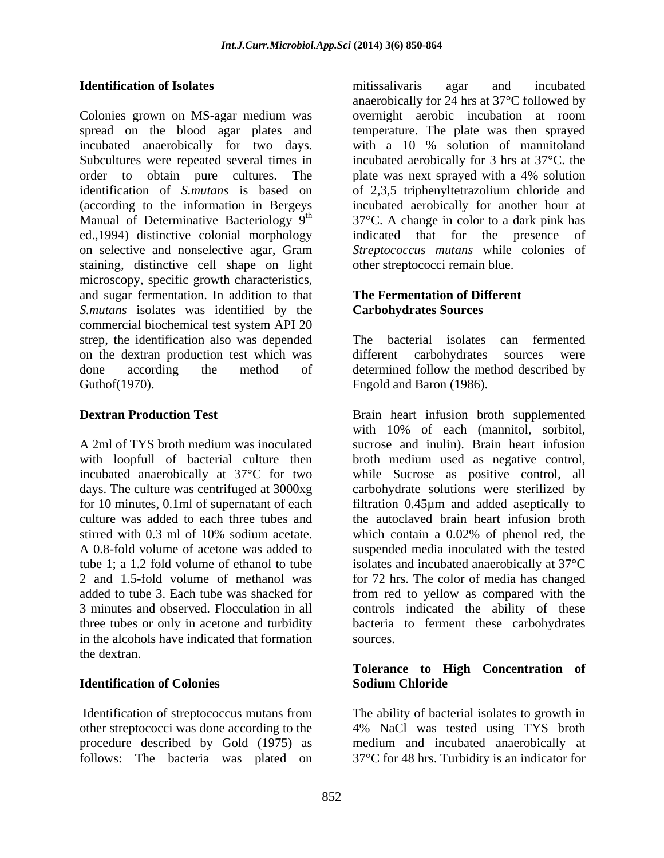Colonies grown on MS-agar medium was spread on the blood agar plates and incubated anaerobically for two days. with a 10 % solution of mannitoland Subcultures were repeated several times in order to obtain pure cultures. The plate was next sprayed with a 4% solution identification of *S.mutans* is based on of 2,3,5 triphenyltetrazolium chloride and (according to the information in Bergeys incubated aerobically for another hour at Manual of Determinative Bacteriology  $9<sup>th</sup>$  37°C. A change in color to a dark pink has ed.,1994) distinctive colonial morphology on selective and nonselective agar, Gram staining, distinctive cell shape on light microscopy, specific growth characteristics, and sugar fermentation. In addition to that *S.mutans* isolates was identified by the commercial biochemical test system API 20 strep, the identification also was depended The bacterial isolates can fermented on the dextran production test which was done according the method of determined follow the method described by

in the alcohols have indicated that formation the dextran.

other streptococci was done according to the 4% NaCl was tested using TYS broth procedure described by Gold (1975) as medium and incubated anaerobically at follows: The bacteria was plated on 37°C for 48 hrs. Turbidity is an indicator for

**Identification of Isolates** *Identification of Isolates Internal agar**agar* **and** *incubated* mitissalivaris agar and incubated anaerobically for 24 hrs at 37°C followed by overnight aerobic incubation at room temperature. The plate was then sprayed with a 10 % solution of mannitoland incubated aerobically for 3 hrs at 37°C. the plate was next sprayed with a 4% solution indicated that for the presence *Streptococcus mutans* while colonies of other streptococci remain blue.

### **The Fermentation of Different Carbohydrates Sources**

Guthof(1970). Figold and Baron (1986). The bacterial isolates can fermented different carbohydrates sources were

**Dextran Production Test Examplemented Brain heart infusion broth supplemented** A 2ml of TYS broth medium was inoculated sucrose and inulin). Brain heart infusion with loopfull of bacterial culture then broth medium used as negative control, incubated anaerobically at 37°C for two while Sucrose as positive control, all days. The culture was centrifuged at 3000xg carbohydrate solutions were sterilized by for 10 minutes, 0.1ml of supernatant of each filtration 0.45µm and added aseptically to culture was added to each three tubes and the autoclaved brain heart infusion broth stirred with 0.3 ml of 10% sodium acetate. Which contain a 0.02% of phenol red, the A 0.8-fold volume of acetone was added to suspended media inoculated with the tested tube 1; a 1.2 fold volume of ethanol to tube isolatesand incubated anaerobically at 37°C 2 and 1.5-fold volume of methanol was for 72 hrs. The color of media has changed added to tube 3. Each tube was shacked for from red to yellow as compared with the 3 minutes and observed. Flocculation in all controls indicated the ability of these three tubes or only in acetone and turbidity bacteria to ferment these carbohydrates with 10% of each (mannitol, sorbitol, which contain a 0.02% of phenol red, the suspended media inoculated with the tested sources.

### **Identification of Colonies Tolerance to High Concentration of Sodium Chloride**

Identification of streptococcus mutans from The ability of bacterial isolates to growth in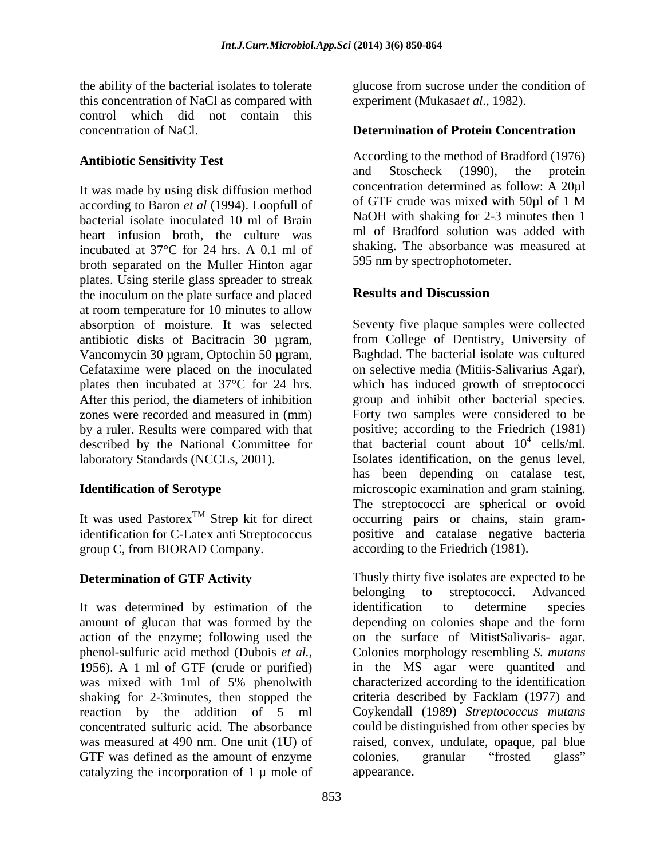this concentration of NaCl as compared with control which did not contain this concentration of NaCl. **Determination of Protein Concentration**

according to Baron *et al* (1994). Loopfull of bacterial isolate inoculated 10 ml of Brain heart infusion broth, the culture was incubated at 37°C for 24 hrs. A 0.1 ml of broth separated on the Muller Hinton agar plates. Using sterile glass spreader to streak<br>the inoculum on the plate surface and placed **Results and Discussion** the inoculum on the plate surface and placed at room temperature for 10 minutes to allow absorption of moisture. It was selected Seventy five plaque samples were collected antibiotic disks of Bacitracin 30 µgram, from College of Dentistry, University of Vancomycin 30 µgram, Optochin 50 µgram, Cefataxime were placed on the inoculated plates then incubated at 37°C for 24 hrs. which has induced growth of streptococci After this period, the diameters of inhibition group and inhibit other bacterial species. zones were recorded and measured in (mm) Forty two samples were considered to be by a ruler. Results were compared with that positive; according to the Friedrich (1981) described by the National Committee for laboratory Standards (NCCLs, 2001). Isolates identification, on the genus level,

identification for C-Latex anti Streptococcus group C, from BIORAD Company.

It was determined by estimation of the identification to determine species amount of glucan that was formed by the shaking for 2-3minutes, then stopped the GTF was defined as the amount of enzyme colonies, granular "frosted glass" catalyzing the incorporation of  $1 \mu$  mole of

the ability of the bacterial isolates to tolerate glucose from sucrose under the condition of experiment (Mukasa*et al*., 1982).

**Antibiotic Sensitivity Test**<br>and Stoscheck (1990), the protein<br>and Stoscheck (1990), the protein It was made by using disk diffusion method<br>according to Baron et al. (1994) I confull of the SQL of GTF crude was mixed with 50 $\mu$ l of 1 M According to the method of Bradford (1976) and Stoscheck (1990), the protein concentration determined as follow: A 20µl of GTF crude was mixed with 50µl of 1 M NaOH with shaking for 2-3 minutes then 1 ml of Bradford solution was added with shaking. The absorbance was measured at 595 nm by spectrophotometer.

### **Results and Discussion**

**Identification of Serotype**  microscopic examination and gram staining. It was used Pastorex<sup>1M</sup> Strep kit for direct occurring pairs or chains, stain gram-<sup>TM</sup> Strep kit for direct occurring pairs or chains, stain gram-Baghdad. The bacterial isolate was cultured on selective media (Mitiis-Salivarius Agar), that bacterial count about  $10^4$  cells/ml.  $^4$  colle/ml cells/ml. has been depending on catalase test, The streptococci are spherical or ovoid positive and catalase negative bacteria according to the Friedrich (1981).

**Determination of GTF Activity** Thusly thirty five isolates are expected to be action of the enzyme; following used the on the surface of MitistSalivaris- agar. phenol-sulfuric acid method (Dubois *et al.*,<br>1956). A 1 ml of GTF (crude or purified) in the MS agar were quantited and was mixed with 1ml of 5% phenolwith characterized according to the identification reaction by the addition of 5 ml Coykendall (1989) *Streptococcus mutans* concentrated sulfuric acid. The absorbance could be distinguished from other species by was measured at 490 nm. One unit (1U) of raised, convex, undulate, opaque, pal blue belonging to streptococci. Advanced identification to determine species depending on colonies shape and the form Colonies morphology resembling *S. mutans* in the MS agar were quantited and characterized according to the identification criteria described by Facklam (1977) and colonies, granular "frosted glass" appearance.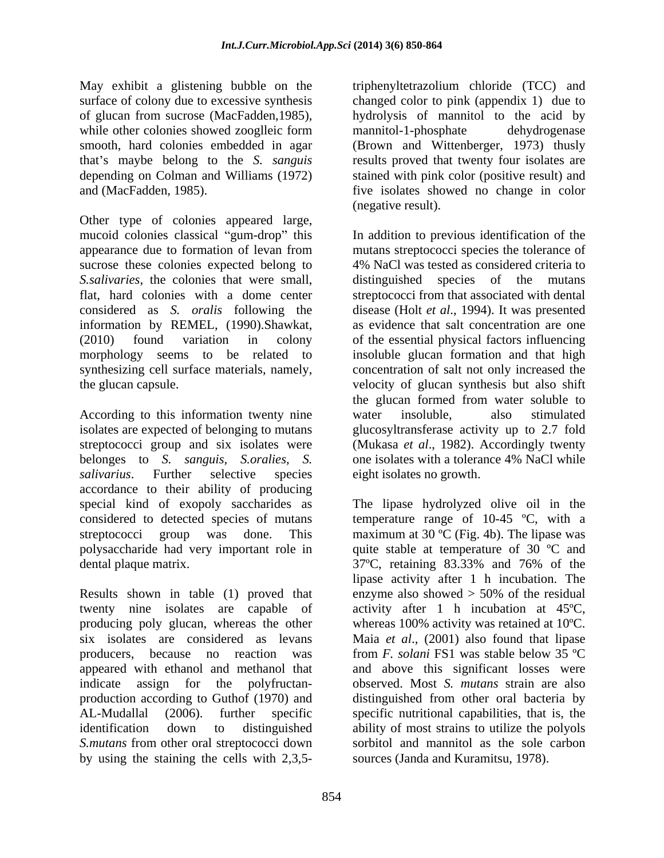May exhibit a glistening bubble on the surface of colony due to excessive synthesis changed color to pink (appendix 1) due to of glucan from sucrose (MacFadden,1985), hydrolysis of mannitol to the acid by while other colonies showed zooglies form mannitol-1-phosphate dehydrogenese smooth, hard colonies embedded in agar (Brown and Wittenberger, 1973) thusly that's maybe belong to the *S. sanguis* depending on Colman and Williams (1972) stained with pink color (positive result) and

Other type of colonies appeared large, mucoid colonies classical "gum-drop" this *S.salivaries*, the colonies that were small, distinguished species of the mutans information by REMEL, (1990).Shawkat,

According to this information twenty nine water insoluble, also stimulated isolates are expected of belonging to mutans glucosyltransferase activity up to 2.7 fold streptococci group and six isolates were belonges to *S. sanguis, S.oralies, S. salivarius*. Further selective species eight isolates no growth. accordance to their ability of producing special kind of exopoly saccharides as The lipase hydrolyzed olive oil in the

Results shown in table (1) proved that enzyme also showed  $>$  50% of the residual twenty nine isolates are capable of producing poly glucan, whereas the other appeared with ethanol and methanol that production according to Guthof (1970) and *S.mutans* from other oral streptococci down by using the staining the cells with 2,3,5-

and (MacFadden, 1985). five isolates showed no change in color triphenyltetrazolium chloride (TCC) and mannitol-1-phosphate dehydrogenase results proved that twenty four isolates are (negative result).

appearance due to formation of levan from mutans streptococci species the tolerance of sucrose these colonies expected belong to 4% NaCl was tested as considered criteria to flat, hard colonies with a dome center streptococci from that associated with dental considered as *S. oralis* following the disease (Holt *et al*., 1994). It was presented (2010) found variation in colony of the essential physical factors influencing morphology seems to be related to insoluble glucan formation and that high synthesizing cell surface materials, namely, concentration of salt not only increased the the glucan capsule. velocity of glucan synthesis but also shift In addition to previous identification of the distinguished species of the mutans as evidence that salt concentration are one the glucan formed from water soluble to water insoluble, also stimulated (Mukasa *et al*., 1982). Accordingly twenty one isolates with a tolerance 4% NaCl while eight isolates no growth.

considered to detected species of mutans temperature range of 10-45 ºC, with a streptococci group was done. This maximum at 30 ºC (Fig.4b). The lipase was polysaccharide had very important role in quite stable at temperature of 30 ºC and dental plaque matrix. 37ºC, retaining 83.33% and 76% of the six isolates are considered as levans Maia *et al*., (2001) also found that lipase producers, because no reaction was from *F. solani* FS1 was stable below 35 ºC indicate assign for the polyfructan- observed. Most *S. mutans* strain are also AL-Mudallal (2006). further specific specific nutritional capabilities, that is, the identification down to distinguished ability of most strains to utilize the polyols The lipase hydrolyzed olive oil in the lipase activity after 1 h incubation. The enzyme also showed > 50% of the residual activity after 1 h incubation at 45ºC, whereas 100% activity was retained at 10ºC. and above this significant losses were distinguished from other oral bacteria by sorbitol and mannitol as the sole carbon sources (Janda and Kuramitsu, 1978).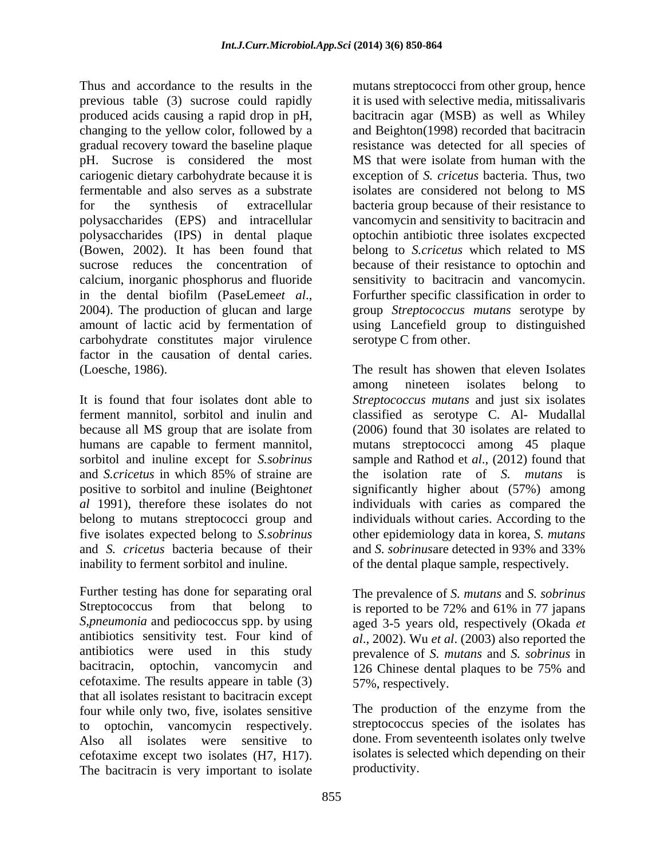Thus and accordance to the results in the mutans streptococci from other group, hence previous table (3) sucrose could rapidly produced acids causing a rapid drop in pH, bacitracin agar (MSB) as well as Whiley changing to the yellow color, followed by a and Beighton(1998) recorded that bacitracin gradual recovery toward the baseline plaque resistance was detected for all species of pH. Sucrose is considered the most cariogenic dietary carbohydrate because it is exception of *S. cricetus* bacteria. Thus,two fermentable and also serves as a substrate isolates are considered not belong to MS for the synthesis of extracellular bacteria group because of their resistance to polysaccharides (EPS) and intracellular vancomycin and sensitivity to bacitracin and polysaccharides (IPS) in dental plaque optochin antibiotic three isolates excpected (Bowen, 2002). It has been found that belong to *S.cricetus* which related to MS sucrose reduces the concentration of because of their resistance to optochin and calcium, inorganic phosphorus and fluoride in the dental biofilm (PaseLeme*et al.*, Forfurther specific classification in order to 2004). The production of glucan and large group *Streptococcus mutans* serotype by amount of lactic acid by fermentation of using Lancefield group to distinguished carbohydrate constitutes major virulence factor in the causation of dental caries.

and *S. cricetus* bacteria because of their

Further testing has done for separating oral The prevalence of *S. mutans* and *S. sobrinus* Streptococcus from that belong to is reported to be 72% and 61% in 77 japans *S,pneumonia* and pediococcus spp. by using aged 3-5 years old, respectively (Okada *et*  antibiotics sensitivity test. Four kind of *al*., 2002). Wu *et al*. (2003) also reported the antibiotics were used in this study prevalence of *S. mutans* and *S. sobrinus* in bacitracin, optochin, vancomycin and 126 Chinese dental plaques to be 75% and cefotaxime. The results appeare in table (3) that all isolates resistant to bacitracin except four while only two, five, isolates sensitive to optochin, vancomycin respectively. Streptococcus species of the isolates has<br>Also all isolates were sensitive to done. From seventeenth isolates only twelve cefotaxime except two isolates (H7, H17). The bacitracin is very important to isolate

it is used with selective media, mitissalivaris MS that were isolate from human with the sensitivity to bacitracin and vancomycin. Forfurther specific classification in order to group *Streptococcus mutans* serotype by serotype C from other.

(Loesche, 1986). The result has showen that eleven Isolates It is found that four isolates dont able to *Streptococcus mutans* and just six isolates ferment mannitol, sorbitol and inulin and classified as serotype C. Al- Mudallal because all MS group that are isolate from (2006) found that 30 isolates are related to humans are capable to ferment mannitol, mutans streptococci among 45 plaque sorbitol and inuline except for *S.sobrinus* sample and Rathod et *al*., (2012) found that and *S.cricetus* in which 85% of straine are the isolation rate of *S. mutans* is positive to sorbitol and inuline (Beighton*et*  significantly higher about (57%) among *al* 1991), therefore these isolates do not individuals with caries as compared the belong to mutans streptococci group and individuals without caries. According to the five isolates expected belong to *S.sobrinus* other epidemiology data in korea, *S. mutans* inability to ferment sorbitol and inuline. of the dental plaque sample, respectively. among nineteen isolates belong to and *S. sobrinus*are detected in 93% and 33%

> 126 Chinese dental plaques to be 75% and 57%, respectively.

The production of the enzyme from the streptococcus species of the isolates has done. From seventeenth isolates only twelve isolates is selected which depending on their productivity.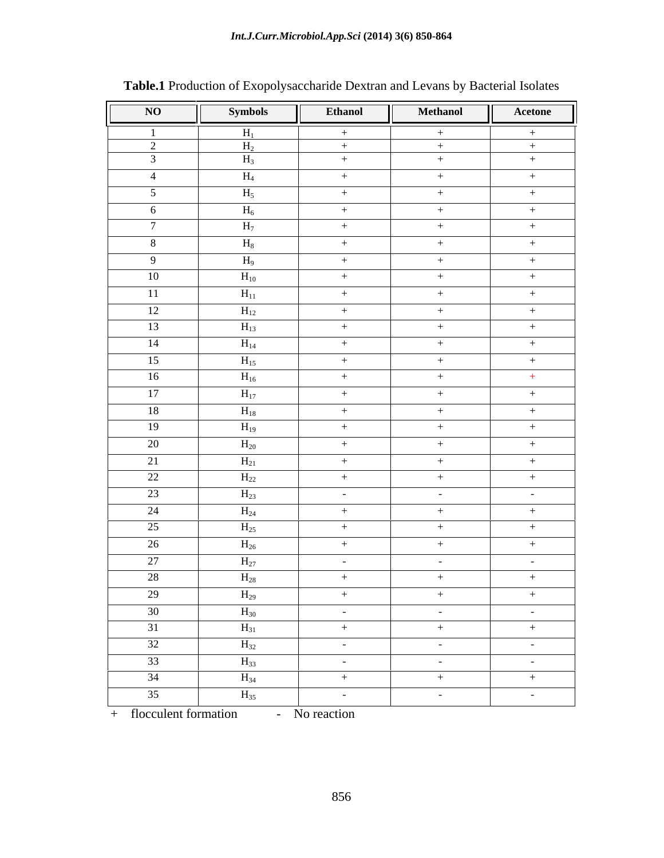| $H_1$<br>$+$<br>$+$<br>$+$<br>2<br>$H_2$<br>$+$<br>$+$<br>$+$<br>$\overline{\mathbf{3}}$<br>$H_3$<br>$+$<br>$+$<br>$+$<br>$\rm{H}_{4}$<br>$\overline{4}$<br>$+$<br>$+$<br>$+$<br>$H_5$<br>5 <sup>5</sup><br>$+$<br>$+$<br>$+$<br>$H_6$<br>6<br>$+$<br>$+$<br>$+$<br>$\overline{7}$<br>$H_7$<br>$+$<br>$+$<br>$+$<br>$H_8$<br>8<br>$+$<br>$+$<br>$+$<br>$H_9$<br>- 9<br>$+$<br>$+$<br>$+$<br>10<br>$H_{10}$<br>$+$<br>$+$<br>$+$<br>11<br>$H_{11}$<br>$+$<br>$+$<br>$+$<br>12<br>$H_{12}$<br>$+$<br>$+$<br>$+$<br>13<br>$H_{13}$<br>$+$<br>$+$<br>$+$<br>14<br>$H_{14}$<br>$+$<br>$+$<br>$+$<br>15<br>$H_{15}$<br>$+$<br>$+$<br>$+$<br>16<br>$H_{16}$<br>$+$<br>$+$<br>$+$<br>17<br>$H_{17}$<br>$+$<br>$+$<br>$+$<br>18<br>$\rm{H}_{18}$<br>$+$<br>$+$<br>$+$<br>19<br>$H_{19}$<br>$+$<br>$+$<br>$+$<br>20<br>$H_{20}$<br>$+$<br>$+$<br>$+$<br>21<br>$H_{21}$<br>$+$<br>$+$<br>$+$<br>22<br>$H_{22}$<br>$+$<br>$+$<br>$+$<br>23<br>$H_{23}$<br>$\sim$ $-$<br>$\sim$ $-$<br>24<br>$H_{24}$<br>$+$<br>$+$<br>$+$<br>25<br>$H_{25}$<br>$+$<br>$+$<br>$+$<br>26<br>$H_{26}$<br>$+$<br>$+$<br>$+$<br>27<br>$H_{27}$<br>$\sim 10^{-11}$<br>$\sim$ $-$<br>$\sim$ $-$<br>28<br>$\rm{H}_{28}$<br>$+$<br>$+$<br>$+$<br>29<br>$H_{29}$<br>$+$<br>$+$<br>$+$<br>30<br>$H_{30}$<br>$\sim 10^{-10}$ m $^{-1}$<br>$\sim 10^{-10}$<br>$\sim 10^{-10}$ m $^{-1}$<br>31<br>$H_{31}$<br>$+$<br>$+$<br>$+$<br>32<br>$H_{32}$<br>$\sim 10^{-10}$ m $^{-1}$<br>$\sim 10^{-10}$<br>$\sim 10^{-10}$ m $^{-1}$<br>33<br>$H_{33}$<br>$\alpha$ , $\alpha$ , $\alpha$ , $\alpha$ , $\alpha$<br>$\alpha$ , $\alpha$ , $\alpha$ , $\alpha$ , $\alpha$<br><b>Service</b> State | NO | <b>Symbols</b> | <b>Ethanol</b> | <b>Methanol</b> | Acetone |
|------------------------------------------------------------------------------------------------------------------------------------------------------------------------------------------------------------------------------------------------------------------------------------------------------------------------------------------------------------------------------------------------------------------------------------------------------------------------------------------------------------------------------------------------------------------------------------------------------------------------------------------------------------------------------------------------------------------------------------------------------------------------------------------------------------------------------------------------------------------------------------------------------------------------------------------------------------------------------------------------------------------------------------------------------------------------------------------------------------------------------------------------------------------------------------------------------------------------------------------------------------------------------------------------------------------------------------------------------------------------------------------------------------------------------------------------------------------------------------------------------------------------------------------------------------------------------------------------------------------------------------------------|----|----------------|----------------|-----------------|---------|
|                                                                                                                                                                                                                                                                                                                                                                                                                                                                                                                                                                                                                                                                                                                                                                                                                                                                                                                                                                                                                                                                                                                                                                                                                                                                                                                                                                                                                                                                                                                                                                                                                                                |    |                |                |                 |         |
|                                                                                                                                                                                                                                                                                                                                                                                                                                                                                                                                                                                                                                                                                                                                                                                                                                                                                                                                                                                                                                                                                                                                                                                                                                                                                                                                                                                                                                                                                                                                                                                                                                                |    |                |                |                 |         |
|                                                                                                                                                                                                                                                                                                                                                                                                                                                                                                                                                                                                                                                                                                                                                                                                                                                                                                                                                                                                                                                                                                                                                                                                                                                                                                                                                                                                                                                                                                                                                                                                                                                |    |                |                |                 |         |
|                                                                                                                                                                                                                                                                                                                                                                                                                                                                                                                                                                                                                                                                                                                                                                                                                                                                                                                                                                                                                                                                                                                                                                                                                                                                                                                                                                                                                                                                                                                                                                                                                                                |    |                |                |                 |         |
|                                                                                                                                                                                                                                                                                                                                                                                                                                                                                                                                                                                                                                                                                                                                                                                                                                                                                                                                                                                                                                                                                                                                                                                                                                                                                                                                                                                                                                                                                                                                                                                                                                                |    |                |                |                 |         |
|                                                                                                                                                                                                                                                                                                                                                                                                                                                                                                                                                                                                                                                                                                                                                                                                                                                                                                                                                                                                                                                                                                                                                                                                                                                                                                                                                                                                                                                                                                                                                                                                                                                |    |                |                |                 |         |
|                                                                                                                                                                                                                                                                                                                                                                                                                                                                                                                                                                                                                                                                                                                                                                                                                                                                                                                                                                                                                                                                                                                                                                                                                                                                                                                                                                                                                                                                                                                                                                                                                                                |    |                |                |                 |         |
|                                                                                                                                                                                                                                                                                                                                                                                                                                                                                                                                                                                                                                                                                                                                                                                                                                                                                                                                                                                                                                                                                                                                                                                                                                                                                                                                                                                                                                                                                                                                                                                                                                                |    |                |                |                 |         |
|                                                                                                                                                                                                                                                                                                                                                                                                                                                                                                                                                                                                                                                                                                                                                                                                                                                                                                                                                                                                                                                                                                                                                                                                                                                                                                                                                                                                                                                                                                                                                                                                                                                |    |                |                |                 |         |
|                                                                                                                                                                                                                                                                                                                                                                                                                                                                                                                                                                                                                                                                                                                                                                                                                                                                                                                                                                                                                                                                                                                                                                                                                                                                                                                                                                                                                                                                                                                                                                                                                                                |    |                |                |                 |         |
|                                                                                                                                                                                                                                                                                                                                                                                                                                                                                                                                                                                                                                                                                                                                                                                                                                                                                                                                                                                                                                                                                                                                                                                                                                                                                                                                                                                                                                                                                                                                                                                                                                                |    |                |                |                 |         |
|                                                                                                                                                                                                                                                                                                                                                                                                                                                                                                                                                                                                                                                                                                                                                                                                                                                                                                                                                                                                                                                                                                                                                                                                                                                                                                                                                                                                                                                                                                                                                                                                                                                |    |                |                |                 |         |
|                                                                                                                                                                                                                                                                                                                                                                                                                                                                                                                                                                                                                                                                                                                                                                                                                                                                                                                                                                                                                                                                                                                                                                                                                                                                                                                                                                                                                                                                                                                                                                                                                                                |    |                |                |                 |         |
|                                                                                                                                                                                                                                                                                                                                                                                                                                                                                                                                                                                                                                                                                                                                                                                                                                                                                                                                                                                                                                                                                                                                                                                                                                                                                                                                                                                                                                                                                                                                                                                                                                                |    |                |                |                 |         |
|                                                                                                                                                                                                                                                                                                                                                                                                                                                                                                                                                                                                                                                                                                                                                                                                                                                                                                                                                                                                                                                                                                                                                                                                                                                                                                                                                                                                                                                                                                                                                                                                                                                |    |                |                |                 |         |
|                                                                                                                                                                                                                                                                                                                                                                                                                                                                                                                                                                                                                                                                                                                                                                                                                                                                                                                                                                                                                                                                                                                                                                                                                                                                                                                                                                                                                                                                                                                                                                                                                                                |    |                |                |                 |         |
|                                                                                                                                                                                                                                                                                                                                                                                                                                                                                                                                                                                                                                                                                                                                                                                                                                                                                                                                                                                                                                                                                                                                                                                                                                                                                                                                                                                                                                                                                                                                                                                                                                                |    |                |                |                 |         |
|                                                                                                                                                                                                                                                                                                                                                                                                                                                                                                                                                                                                                                                                                                                                                                                                                                                                                                                                                                                                                                                                                                                                                                                                                                                                                                                                                                                                                                                                                                                                                                                                                                                |    |                |                |                 |         |
|                                                                                                                                                                                                                                                                                                                                                                                                                                                                                                                                                                                                                                                                                                                                                                                                                                                                                                                                                                                                                                                                                                                                                                                                                                                                                                                                                                                                                                                                                                                                                                                                                                                |    |                |                |                 |         |
|                                                                                                                                                                                                                                                                                                                                                                                                                                                                                                                                                                                                                                                                                                                                                                                                                                                                                                                                                                                                                                                                                                                                                                                                                                                                                                                                                                                                                                                                                                                                                                                                                                                |    |                |                |                 |         |
|                                                                                                                                                                                                                                                                                                                                                                                                                                                                                                                                                                                                                                                                                                                                                                                                                                                                                                                                                                                                                                                                                                                                                                                                                                                                                                                                                                                                                                                                                                                                                                                                                                                |    |                |                |                 |         |
|                                                                                                                                                                                                                                                                                                                                                                                                                                                                                                                                                                                                                                                                                                                                                                                                                                                                                                                                                                                                                                                                                                                                                                                                                                                                                                                                                                                                                                                                                                                                                                                                                                                |    |                |                |                 |         |
|                                                                                                                                                                                                                                                                                                                                                                                                                                                                                                                                                                                                                                                                                                                                                                                                                                                                                                                                                                                                                                                                                                                                                                                                                                                                                                                                                                                                                                                                                                                                                                                                                                                |    |                |                |                 |         |
|                                                                                                                                                                                                                                                                                                                                                                                                                                                                                                                                                                                                                                                                                                                                                                                                                                                                                                                                                                                                                                                                                                                                                                                                                                                                                                                                                                                                                                                                                                                                                                                                                                                |    |                |                |                 |         |
|                                                                                                                                                                                                                                                                                                                                                                                                                                                                                                                                                                                                                                                                                                                                                                                                                                                                                                                                                                                                                                                                                                                                                                                                                                                                                                                                                                                                                                                                                                                                                                                                                                                |    |                |                |                 |         |
|                                                                                                                                                                                                                                                                                                                                                                                                                                                                                                                                                                                                                                                                                                                                                                                                                                                                                                                                                                                                                                                                                                                                                                                                                                                                                                                                                                                                                                                                                                                                                                                                                                                |    |                |                |                 |         |
|                                                                                                                                                                                                                                                                                                                                                                                                                                                                                                                                                                                                                                                                                                                                                                                                                                                                                                                                                                                                                                                                                                                                                                                                                                                                                                                                                                                                                                                                                                                                                                                                                                                |    |                |                |                 |         |
|                                                                                                                                                                                                                                                                                                                                                                                                                                                                                                                                                                                                                                                                                                                                                                                                                                                                                                                                                                                                                                                                                                                                                                                                                                                                                                                                                                                                                                                                                                                                                                                                                                                |    |                |                |                 |         |
|                                                                                                                                                                                                                                                                                                                                                                                                                                                                                                                                                                                                                                                                                                                                                                                                                                                                                                                                                                                                                                                                                                                                                                                                                                                                                                                                                                                                                                                                                                                                                                                                                                                |    |                |                |                 |         |
|                                                                                                                                                                                                                                                                                                                                                                                                                                                                                                                                                                                                                                                                                                                                                                                                                                                                                                                                                                                                                                                                                                                                                                                                                                                                                                                                                                                                                                                                                                                                                                                                                                                |    |                |                |                 |         |
|                                                                                                                                                                                                                                                                                                                                                                                                                                                                                                                                                                                                                                                                                                                                                                                                                                                                                                                                                                                                                                                                                                                                                                                                                                                                                                                                                                                                                                                                                                                                                                                                                                                |    |                |                |                 |         |
|                                                                                                                                                                                                                                                                                                                                                                                                                                                                                                                                                                                                                                                                                                                                                                                                                                                                                                                                                                                                                                                                                                                                                                                                                                                                                                                                                                                                                                                                                                                                                                                                                                                |    |                |                |                 |         |
|                                                                                                                                                                                                                                                                                                                                                                                                                                                                                                                                                                                                                                                                                                                                                                                                                                                                                                                                                                                                                                                                                                                                                                                                                                                                                                                                                                                                                                                                                                                                                                                                                                                |    |                |                |                 |         |
|                                                                                                                                                                                                                                                                                                                                                                                                                                                                                                                                                                                                                                                                                                                                                                                                                                                                                                                                                                                                                                                                                                                                                                                                                                                                                                                                                                                                                                                                                                                                                                                                                                                | 34 | $H_{34}$       | $+$            | $+$             | $+$     |
| 35<br>$H_{35}$<br>$\sim 10^{-10}$<br>$\sim 10^{-10}$<br>$\sim 10^{-10}$                                                                                                                                                                                                                                                                                                                                                                                                                                                                                                                                                                                                                                                                                                                                                                                                                                                                                                                                                                                                                                                                                                                                                                                                                                                                                                                                                                                                                                                                                                                                                                        |    |                |                |                 |         |

| Table.1<br>· Dextran<br>$\sqrt{ }$ saccharide $\sqrt{ }$<br>. Production<br>a and Levans by Bacterial Isolates<br>I EXODOIVSAC |  |
|--------------------------------------------------------------------------------------------------------------------------------|--|
|--------------------------------------------------------------------------------------------------------------------------------|--|

+ flocculent formation - No reaction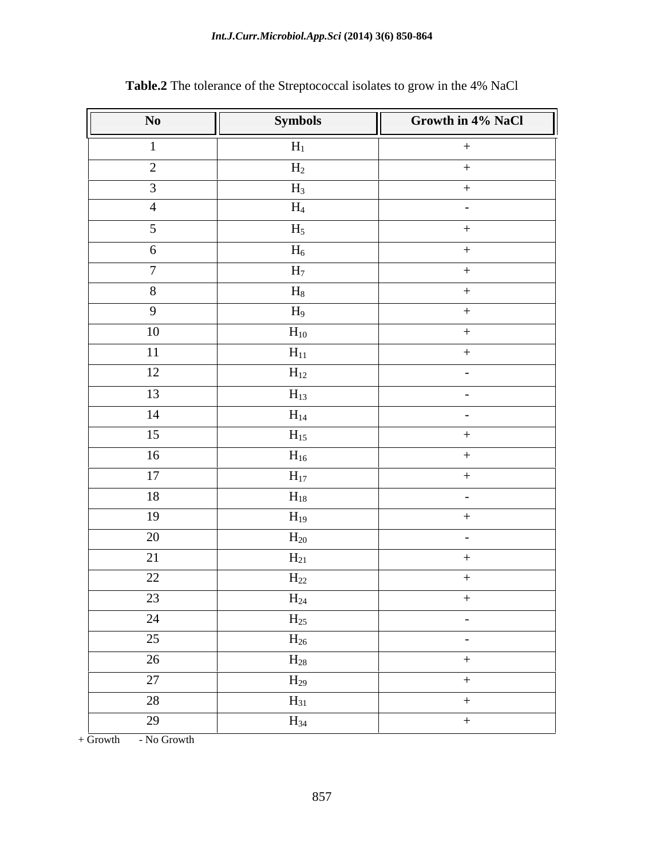### *Int.J.Curr.Microbiol.App.Sci* **(2014) 3(6) 850-864**

| No              | <b>Symbols</b> | Growth in 4% NaCl |
|-----------------|----------------|-------------------|
|                 | $H_1$          | $+$               |
| $\overline{2}$  | $H_2$          | $+$               |
| $\mathbf{3}$    | $H_3$          | $+$               |
| $\overline{4}$  | $H_4$          | $\sim$ $-$        |
| 5 <sup>5</sup>  | $H_5$          | $+$               |
| 6               | $H_6$          | $+$               |
| $\overline{7}$  | H <sub>7</sub> | $+$               |
| 8               | $H_8$          | $+$               |
| 9               | $H_9$          | $+$               |
| 10              | $H_{10}$       | $+$               |
| 11              | $H_{11}$       | $+$               |
| 12              | $H_{12}$       | $\sim$ $-$        |
| 13              | $H_{13}$       | $\sim$            |
| 14              | $H_{14}$       | $\sim$            |
| 15              | $H_{15}$       | $+$               |
| 16              | $H_{16}$       | $+$               |
| 17              | $H_{17}$       | $+$               |
| 18              | $H_{18}$       | $\sim$ $ \sim$    |
| 19              | $H_{19}$       | $+$               |
| 20              | $H_{20}$       | $\sim$            |
| 21              | $H_{21}$       | $+$               |
| 22              | $H_{22}$       | $+$               |
| 23              | $H_{24}$       | $+$               |
| 24              | $H_{25}$       | $\sim$ $ \sim$    |
| $\overline{25}$ | $H_{26}$       | $\sim$ $-$        |
| 26              | $H_{28}$       | $+$               |
| 27              | $H_{29}$       | $+$               |
| 28              | $H_{31}$       | $+$               |
| $\overline{29}$ | $H_{34}$       | $+$               |

# **Table.2** The tolerance of the Streptococcal isolates to grow in the 4% NaCl

+ Growth - No Growth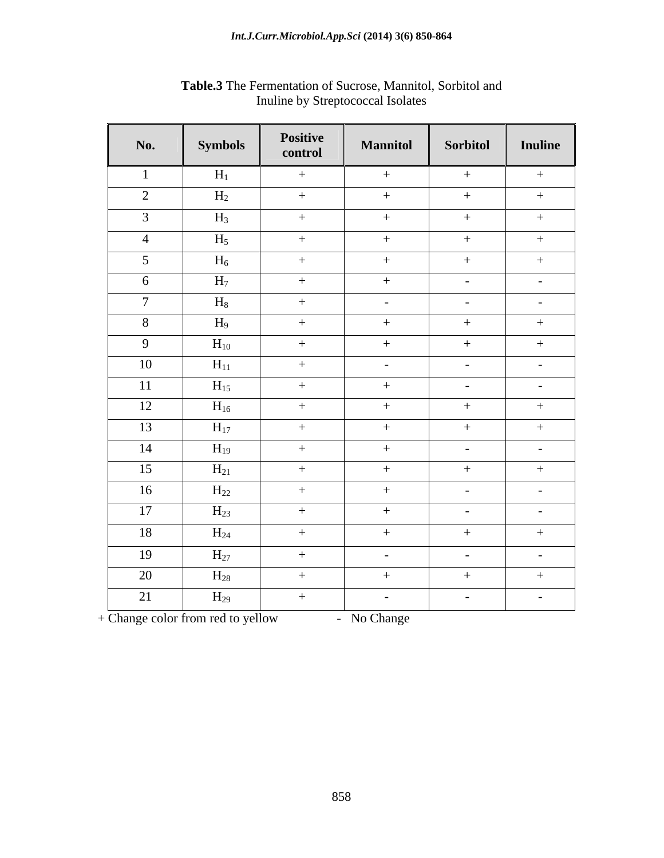| No.             | <b>Symbols</b> | Positive<br>control | <b>Mannitol</b> | Sorbitol        | Inuline        |
|-----------------|----------------|---------------------|-----------------|-----------------|----------------|
|                 | $H_1$          | $+$                 | $+$             | $+$             | $+$            |
| $\overline{2}$  | $H_2$          | $+$                 | $+$             | $+$             | $+$            |
| $\overline{3}$  | $H_3$          | $+$                 | $+$             | $+$             | $+$            |
| $\overline{4}$  | $H_5$          | $+$                 | $+$             | $+$             | $+$            |
| $5\overline{)}$ | $H_6$          | $+$                 | $+$             | $+$             | $+$            |
| 6               | $H_7$          | $+$                 | $+$             | $\sim$ $-$      | $\sim$ $-$     |
| $\mathcal{L}$   | $H_8$          | $+$                 | $\sim$ $-$      | $\sim$ $-$      | $\sim 100$     |
| 8               | $H_9$          | $+$                 | $+$             | $+$             | $+$            |
| 9               | $H_{10}$       | $+$                 | $+$             | $+$             | $+$            |
| 10              | $H_{11}$       | $+$                 | $\sim$ $ \sim$  | $\sim$ $-$      | $\sim$ $ \sim$ |
| 11              | $H_{15}$       | $+$                 | $+$             | $\sim 100$      | $\sim$ $-$     |
| 12              | $H_{16}$       | $+$                 | $+$             | $+$             | $+$            |
| 13              | $H_{17}$       | $+$                 | $+$             | $+$             | $+$            |
| 14              | $H_{19}$       | $+$                 | $+$             | $\sim$ $ \sim$  | $\sim$ $-$     |
| 15              | $H_{21}$       | $+$                 | $+$             | $+$             | $+$            |
| 16              | $H_{22}$       | $+$                 | $+$             | $\sim$ $-$      | $\sim$ $-$     |
| 17              | $H_{23}$       | $+$                 | $+$             | $\sim$ 10 $\pm$ | $\sim$ $ \sim$ |
| 18              | $H_{24}$       | $+$                 | $+$             | $+$             | $+$            |
| 19              | $H_{27}$       | $+$                 | $\sim$ $ \sim$  | $\sim$ $ \sim$  | $\sim 100$     |
| 20              | $H_{28}$       | $+$                 | $+$             | $+$             | $+$            |
| 21              | $H_{29}$       | $+$                 | $\sim$ $-$      | $\sim$ $-$      | $\sim$ $-$     |

**Table.3** The Fermentation of Sucrose, Mannitol, Sorbitol and Inuline by Streptococcal Isolates

+ Change color from red to yellow - No Change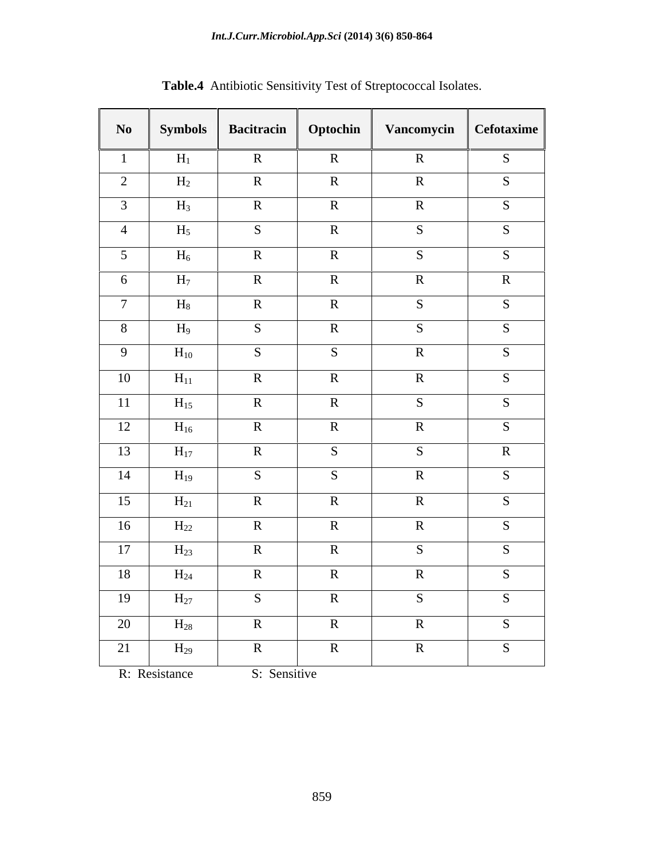|                        |                |                   |              | Table.4 Antibiotic Sensitivity Test of Streptococcal Isolates. |              |
|------------------------|----------------|-------------------|--------------|----------------------------------------------------------------|--------------|
| $\mathbf{N}\mathbf{o}$ | <b>Symbols</b> | <b>Bacitracin</b> | Optochin     | Vancomycin   Cefotaxime                                        |              |
|                        |                |                   |              |                                                                |              |
|                        | $H_1$          | $\mathbf{R}$      | $\mathbb{R}$ | $\mathbf R$                                                    | S            |
| 2                      | $H_2$          | $\mathbf{R}$      | $\mathbf{R}$ | $\mathbf{R}$                                                   | S            |
| $\overline{3}$         | $H_3$          | $\mathbf{R}$      | $\mathbf{R}$ | $\mathbf{R}$                                                   | S            |
| $\overline{4}$         | $H_5$          | S                 | $\mathbf R$  | $\overline{\mathbf{S}}$                                        | S            |
| 5 <sup>5</sup>         | $H_6$          | $\mathbf{R}$      | $\mathbf R$  | S                                                              | S            |
| 6                      | $H_7$          | $\mathbb{R}$      | $\mathbf{R}$ | $\mathbf{R}$                                                   | $\mathbb{R}$ |
| $7\phantom{.0}$        | $\rm H_8$      | $\mathbf{R}$      | $\mathbf{R}$ | S                                                              | S            |
| 8 <sup>8</sup>         | $H_9$          | S                 | $\mathbb{R}$ | S                                                              | S            |
| 9                      | $\rm{H}_{10}$  | S                 | S            | $\mathbf{R}$                                                   | S            |
| 10                     | $H_{11}$       | $\mathbf{R}$      | $\mathbf{R}$ | $\mathbf{R}$                                                   | S            |
|                        |                | $\mathbf{R}$      | $\mathbf{R}$ | S                                                              | S            |
| 11                     | $H_{15}$       |                   |              |                                                                |              |
| 12                     | $H_{16}$       | $\mathbf{R}$      | $\mathbf{R}$ | $\mathbf{R}$                                                   | S            |
| 13                     | $H_{17}$       | $\mathbf{R}$      | S            | S                                                              | $\mathbf R$  |
| 14                     | $H_{19}$       | S                 | S            | $\mathbf{R}$                                                   | S            |
| 15                     | $H_{21}$       | $\mathbf{R}$      | $\mathbf{R}$ | $\mathbf{R}$                                                   | S            |
| 16                     | $H_{22}$       | $\mathbf{R}$      | $\mathbf{R}$ | $\mathbf{R}$                                                   | S            |
| 17                     | $H_{23}$       | $\mathbf{R}$      | $\mathbf{R}$ | S                                                              | S            |
| 18                     | $H_{24}$       | $\mathbf{R}$      | $\mathbf R$  | $\mathbf R$                                                    | S            |
| 19                     | $H_{27}$       | S                 | $\mathbf{R}$ | S                                                              | S            |
| 20                     | $H_{28}$       | $\mathbf{R}$      | $\mathbf{R}$ | $\mathbf R$                                                    | S            |
|                        |                |                   |              |                                                                |              |
| 21                     | $H_{29}$       | $\mathbf{R}$      | $\mathbf{R}$ | $\mathbf R$                                                    | S            |

R: Resistance S: Sensitive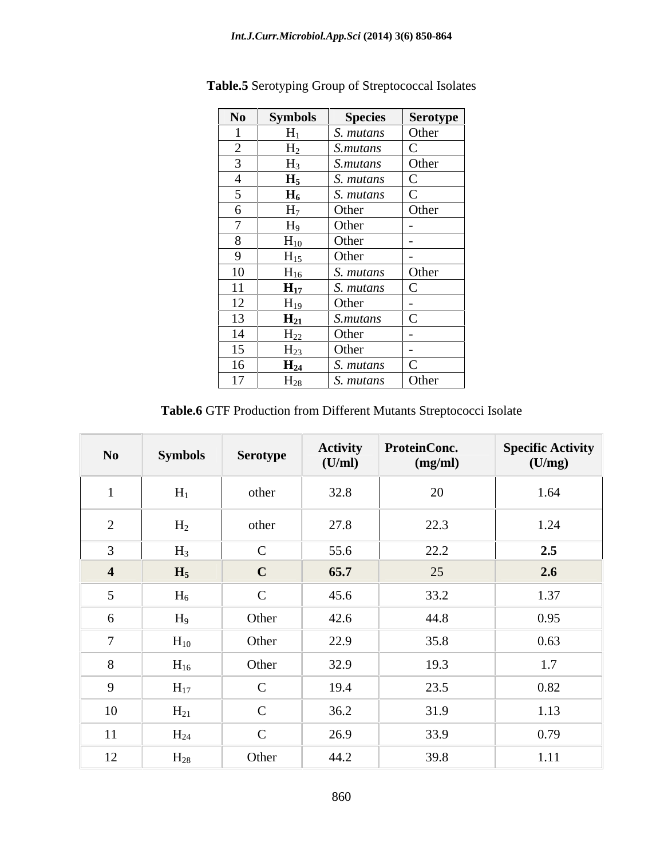| No                                 | Symbols           | <b>Species</b>   | Serotype <sup>1</sup>              |
|------------------------------------|-------------------|------------------|------------------------------------|
|                                    | $H_1$             | S. mutans        | Other                              |
| $\sim$<br>$\overline{\phantom{0}}$ | H <sub>2</sub>    | S.mutans         | $\sim$                             |
| $\sim$                             | $H_3$             | S.mutans         | Other                              |
| $\overline{4}$                     | $H_5$             | S. mutans        | $\sim$                             |
| ◡                                  | $H_6$             | S. mutans        | $\sim$<br>$\overline{\phantom{a}}$ |
| $\mathbf{O}$                       | $H_7$             | Other            | Other                              |
| $\sqrt{ }$                         | $H_9$             | Other            |                                    |
| 8                                  | $H_{10}$          | Other            |                                    |
| 9                                  | $H_{15}$          | Other            |                                    |
| 10                                 | $H_{16}$          | S. mutans        | Other                              |
| <sup>11</sup>                      | $H_{17}$          | S. mutans        | $\sim$                             |
| 12                                 | $H_{19}$          | Other            |                                    |
| 13                                 | $H_{21}$          | <i>S.mutans</i>  | $\sim$<br>◡                        |
| 14                                 | $H_{22}$          | Other            |                                    |
| 15                                 | $H_{23}$          | Other            |                                    |
| 16                                 | $\mathbf{H}_{24}$ | S. mutans        | $\sim$<br>$\overline{\phantom{a}}$ |
| 17                                 | $\rm{H}_{28}$     | S. <i>mutans</i> | Other                              |

**Table.5** Serotyping Group of Streptococcal Isolates

**Table.6** GTF Production from Different Mutants Streptococci Isolate

| N <sub>0</sub>              | <b>Symbols</b> | Serotype      | Activity<br>(U/ml) | <b>ProteinConc.</b><br>(mg/ml) | Specific Activity<br>(U/mg) |
|-----------------------------|----------------|---------------|--------------------|--------------------------------|-----------------------------|
|                             | $H_1$          | other         | 32.8               | 20                             | 1.64                        |
| $\bigcap$<br>$\overline{2}$ | H <sub>2</sub> | other         | 27.8               | 22.3                           | 1.24                        |
| $\sim$                      | $H_3$          | $\mathbf C$   | 55.6               | 22.2                           | 2.5                         |
| 4                           | $H_5$          | $\mathbf C$   | 65.7               | 25                             | 2.6                         |
|                             | $H_6$          | $\mathcal{C}$ | 45.6               | 33.2                           | 1.37                        |
| 6                           | H <sub>9</sub> | Other         | 42.6               | 44.8                           | 0.95                        |
| $\overline{ }$              | $H_{10}$       | Other         | 22.9               | 35.8                           | 0.63                        |
| 8                           | $H_{16}$       | Other         | 32.9               | 19.3                           | 1.7                         |
| $\mathbf Q$                 | $H_{17}$       | $\mathcal{C}$ | 19.4               | 23.5                           | 0.82                        |
| 10                          | $H_{21}$       | $\mathcal{C}$ | 36.2               | 31.9                           | 1.13                        |
| 11                          | $H_{24}$       | $\mathbf C$   | 26.9               | 33.9                           | 0.79                        |
| 12                          | $H_{28}$       | Other         | 44.2               | 39.8                           | 1.11                        |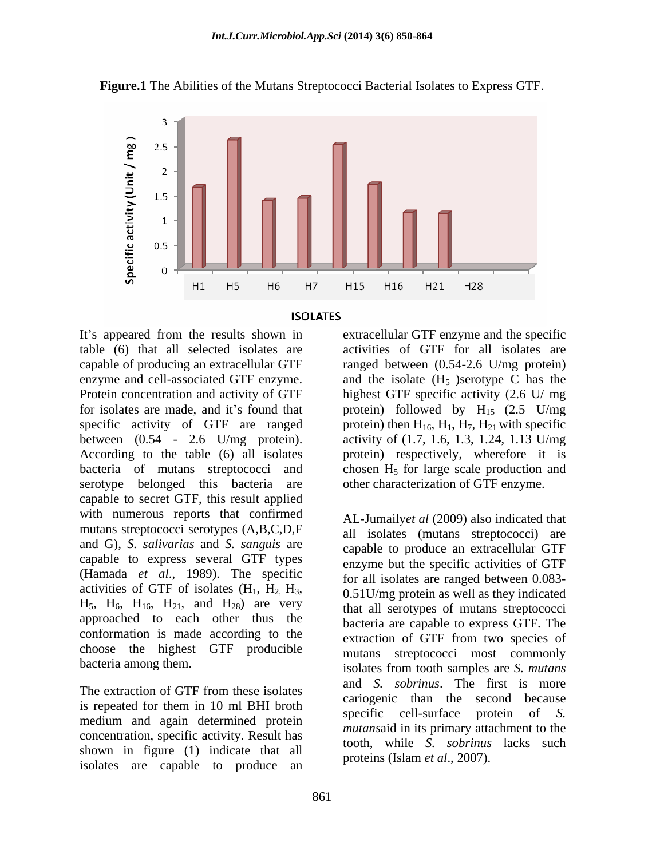





table (6) that all selected isolates are activities of GTF for all isolates are capable of producing an extracellular GTF ranged between (0.54-2.6 U/mg protein) enzyme and cell-associated GTF enzyme.  $\qquad$  and the isolate  $(H_5)$  serotype C has the Protein concentration and activity of GTF highest GTF specific activity (2.6 U/ mg for isolates are made, and it's found that protein) followed by  $H_{15}$  (2.5 U/mg specific activity of GTF are ranged protein) then  $H_{16}$ ,  $H_1$ ,  $H_7$ ,  $H_{21}$  with specific between (0.54 - 2.6 U/mg protein). According to the table (6) all isolates protein) respectively, wherefore it is bacteria of mutans streptococci and serotype belonged this bacteria are capable to secret GTF, this result applied with numerous reports that confirmed mutans streptococci serotypes (A,B,C,D,F and G), *S. salivarias* and *S. sanguis* are capable to express several GTF types (Hamada *et al*., 1989). The specific activities of GTF of isolates  $(H_1, H_2, H_3, 0.51$ U/mg protein as well as they indicated<br>H<sub>5</sub>, H<sub>6</sub>, H<sub>16</sub>, H<sub>21</sub>, and H<sub>28</sub>) are very that all serotypes of mutans streptococci approached to each other thus the conformation is made according to the choose the highest GTF producible

The extraction of GTF from these isolates  $\frac{d\mathbf{u}}{d\mathbf{v}}$  is solutions. The line is more is repeated for them in 10 ml BHI broth specific cell-surface protein of S. medium and again determined protein concentration, specific activity. Result has shown in figure (1) indicate that all isolates are capable to produce an

It's appeared from the results shown in extracellular GTF enzyme and the specific activity of (1.7, 1.6, 1.3, 1.24, 1.13 U/mg chosen  $H<sub>5</sub>$  for large scale production and other characterization of GTF enzyme.

bacteria among them.<br>isolates from tooth samples are S. mutans AL-Jumaily*et al* (2009) also indicated that all isolates (mutans streptococci) are capable to produce an extracellular GTF enzyme but the specific activities of GTF for all isolates are ranged between 0.083- 0.51U/mg protein as well as they indicated that all serotypes of mutans streptococci bacteria are capable to express GTF. The extraction of GTF from two species of mutans streptococci most commonly isolates from tooth samples are *S. mutans* and *S. sobrinus*. The first is more cariogenic than the second because specific cell-surface protein of *S. mutans*aid in its primary attachment to the tooth, while *S. sobrinus* lacks such proteins (Islam *et al*., 2007).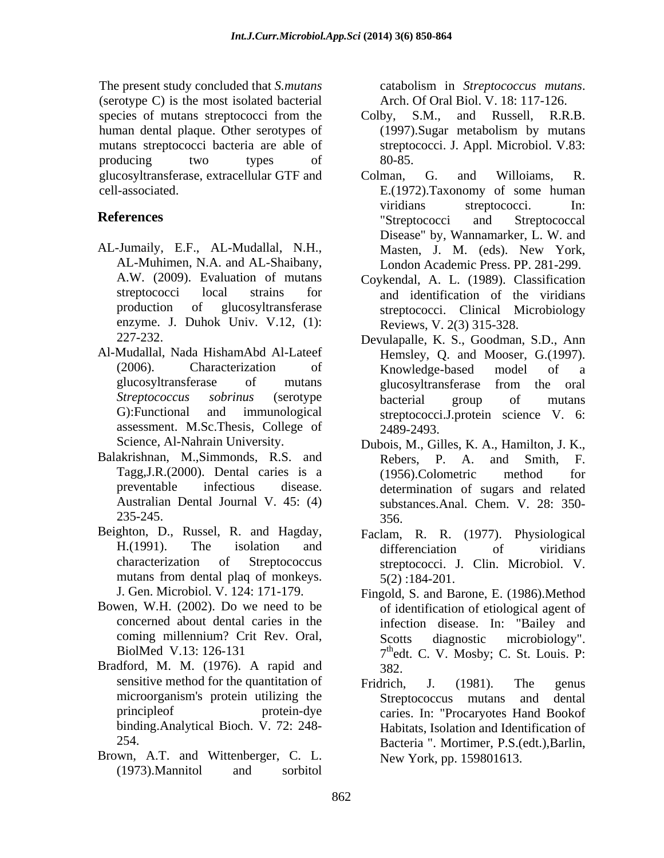The present study concluded that *S.mutans* catabolism in *Streptococcus mutans*. (serotype C) is the most isolated bacterial Arch. Of Oral Biol. V. 18: 117-126. human dental plaque. Other serotypes of (1997). Sugar metabolism by mutans mutans streptococci bacteria are able of producing two types of 80-85. glucosyltransferase, extracellular GTF and

- AL-Jumaily, E.F., AL-Mudallal, N.H., AL-Muhimen, N.A. and AL-Shaibany, enzyme. J. Duhok Univ. V.12, (1):
- Al-Mudallal, Nada HishamAbd Al-Lateef assessment. M.Sc.Thesis, College of 2489-2493.
- Balakrishnan, M., Simmonds, R.S. and Rebers, P. A. and Smith, F. Australian Dental Journal V. 45: (4)
- Beighton, D., Russel, R. and Hagday, mutans from dental plaq of monkeys.  $5(2)$ : 184-201.
- 
- Bradford, M. M. (1976). A rapid and sensitive method for the quantitation of Fridrich, J. (1981). The genus binding.Analytical Bioch. V. 72: 248-
- Brown, A.T. and Wittenberger, C. L. (1973).Mannitol and sorbitol

catabolism in *Streptococcus mutans*. Arch. Of Oral Biol. V. 18: 117-126.

- species of mutans streptococci from the Colby, S.M., and Russell, R.R.B. Colby, S.M., and Russell, R.R.B. (1997).Sugar metabolism by mutans streptococci. J. Appl. Microbiol. V.83: 80-85.
- cell-associated. E.(1972).Taxonomy of some human **References** The **References** Streptococci and Streptococcal Colman, G. and Willoiams, R. viridians streptococci. In: "Streptococci and Streptococcal Disease" by, Wannamarker, L. W. and Masten, J. M. (eds). New York, London Academic Press. PP. 281-299.
	- A.W. (2009). Evaluation of mutans Coykendal, A. L. (1989). Classification streptococci local strains for and identification of the viridians production of glucosyltransferase streptococci. Clinical Microbiology Reviews, V. 2(3) 315-328.
	- 227-232. Devulapalle, K. S., Goodman, S.D., Ann (2006). Characterization of Knowledge-based model of a glucosyltransferase of mutans *Streptococcus sobrinus* (serotype G):Functional and immunological streptococci.J.protein science V. 6: Hemsley, Q. and Mooser, G.(1997). Knowledge-based model of a glucosyltransferase from the oral bacterial group of mutans 2489-2493.
	- Science, Al-Nahrain University. Dubois, M., Gilles, K. A., Hamilton, J. K., Tagg,J.R.(2000). Dental caries is a preventable infectious disease. determination of sugars and related 235-245. Rebers, P. A. and Smith, F. (1956).Colometric method for substances.Anal. Chem. V. 28: 350- 356.
	- H.(1991). The isolation and characterization of Streptococcus streptococci. J. Clin. Microbiol. V. Faclam, R. R. (1977). Physiological differenciation of viridians 5(2) :184-201.
- J. Gen. Microbiol. V. 124: 171-179. Fingold, S. and Barone, E. (1986).Method Bowen, W.H. (2002). Do we need to be of identification of etiological agent of concerned about dental caries in the infection disease. In: "Bailey and coming millennium? Crit Rev. Oral, BiolMed V.13: 126-131 7<sup>th</sup>edt. C. V. Mosby; C. St. Louis. P: Scotts diagnostic microbiology". 382.
	- microorganism's protein utilizing the Streptococcus mutans and dental principleof protein-dye caries. In: "Procaryotes Hand Bookof 254. Bacteria ". Mortimer, P.S.(edt.),Barlin, Fridrich, J. (1981). The genus Streptococcus mutans and dental Habitats, Isolation and Identification of New York, pp. 159801613.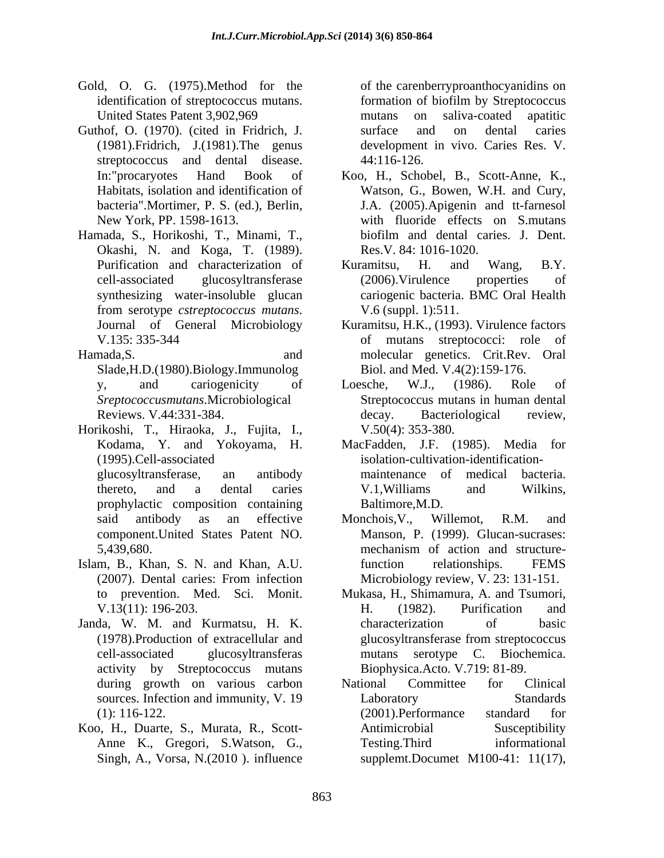- Gold, O. G. (1975).Method for the United States Patent 3,902,969 https://www.mutans.com/saliva-coated apatitic
- Guthof, O. (1970). (cited in Fridrich, J. surface and on dental caries (1981).Fridrich, J.(1981).The genus streptococcus and dental disease. 44:116-126.
- Hamada, S., Horikoshi, T., Minami, T., biofilm and dental caries. J. Dent. Okashi, N. and Koga, T. (1989). synthesizing water-insoluble glucan from serotype *cstreptococcus mutans*. <br>
Journal of General Microbiology Kuramitsu, H.K., (1993). Virulence factors
- Slade,H.D.(1980).Biology.Immunolog
- Horikoshi, T., Hiraoka, J., Fujita, I., prophylactic composition containing component.United States Patent NO.
- Islam, B., Khan, S. N. and Khan, A.U.
- Janda, W. M. and Kurmatsu, H. K. activity by Streptococcus mutans
- Koo, H., Duarte, S., Murata, R., Scott-

identification of streptococcus mutans. formation of biofilm by Streptococcus of the carenberryproanthocyanidins on mutans on saliva-coated apatitic surface and on dental caries development in vivo. Caries Res. V. 44:116-126.

- In:"procaryotes Hand Book of Koo, H., Schobel, B., Scott-Anne, K., Habitats, isolation and identification of Watson, G., Bowen, W.H. and Cury, bacteria".Mortimer, P. S. (ed.), Berlin, J.A. (2005).Apigenin and tt-farnesol New York, PP. 1598-1613. with fluoride effects on S.mutans biofilm and dental caries. J. Dent. Res.V. 84: 1016-1020.
- Purification and characterization of Kuramitsu, H. and Wang, B.Y. cell-associated glucosyltransferase Kuramitsu, H. and Wang, B.Y. (2006).Virulence properties of cariogenic bacteria. BMC Oral Health V.6 (suppl. 1):511.
- V.135: 335-344 of mutans streptococci: role of Hamada,S. and molecular genetics. Crit.Rev. Oral Kuramitsu, H.K., (1993). Virulence factors Biol. and Med. V.4(2):159-176.
	- y, and cariogenicity of Loesche, W.J., (1986). Role of *Sreptococcusmutans*.Microbiological Streptococcus mutans in human dental Reviews. V.44:331-384. Loesche, W.J., (1986). Role of decay. Bacteriological review, V.50(4): 353-380.
	- Kodama, Y. and Yokoyama, H. MacFadden, J.F. (1985). Media for (1995).Cell-associated isolation-cultivation-identification glucosyltransferase, an antibody thereto, and a dental caries maintenance of medical bacteria. V.1,Williams and Wilkins, Baltimore,M.D.
	- said antibody as an effective Monchois, V., Willemot, R.M. and 5,439,680. mechanism of action and structure-(2007). Dental caries: From infection Monchois,V., Willemot, R.M. and Manson, P. (1999). Glucan-sucrases: mechanism of action and structurefunction relationships. FEMS Microbiology review, V. 23: 131-151.
	- to prevention. Med. Sci. Monit. Mukasa, H., Shimamura, A. and Tsumori, V.13(11): 196-203. (1978).Production of extracellular and cell-associated glucosyltransferas mutans serotype C. Biochemica. H. (1982). Purification and characterization of basic glucosyltransferase from streptococcus Biophysica.Acto. V.719: 81-89.
	- during growth on various carbon National Committee for Clinical sources. Infection and immunity, V. 19 Laboratory Standards (1): 116-122. (2001). Performance standard for Anne K., Gregori, S.Watson, G., Singh, A., Vorsa, N.(2010 ). influence supplemt.Documet M100-41: 11(17),National Committee for Clinical Laboratory Standards (2001).Performance standard for Antimicrobial Susceptibility Testing.Third informational